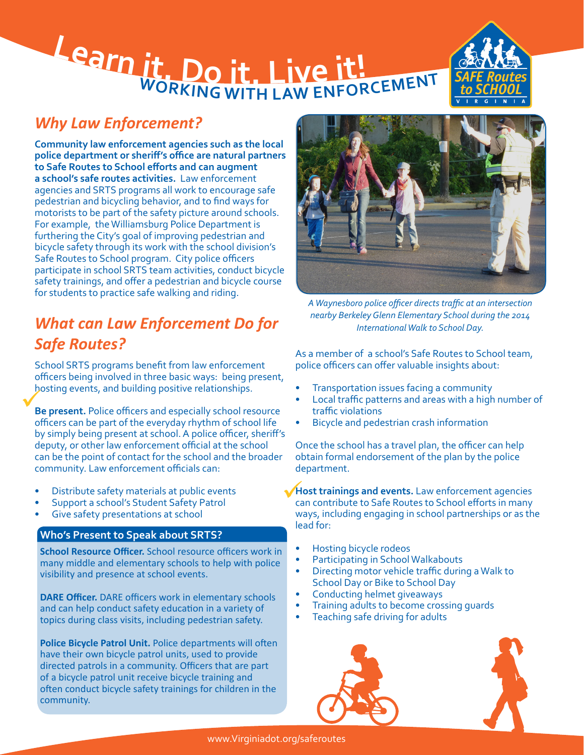# **<sup>L</sup>ear<sup>n</sup> <sup>i</sup>t. <sup>D</sup><sup>o</sup> <sup>i</sup>t. <sup>L</sup>iv<sup>e</sup> <sup>i</sup>t! WORKING WITH LAW ENFORCEMENT**



## *Why Law Enforcement?*

**Community law enforcement agencies such as the local police department or sheriff's office are natural partners to Safe Routes to School efforts and can augment a school's safe routes activities.** Law enforcement agencies and SRTS programs all work to encourage safe pedestrian and bicycling behavior, and to find ways for motorists to be part of the safety picture around schools. For example, the Williamsburg Police Department is furthering the City's goal of improving pedestrian and bicycle safety through its work with the school division's Safe Routes to School program. City police officers participate in school SRTS team activities, conduct bicycle safety trainings, and offer a pedestrian and bicycle course for students to practice safe walking and riding.

# *What can Law Enforcement Do for Safe Routes?*

School SRTS programs benefit from law enforcement officers being involved in three basic ways: being present, hosting events, and building positive relationships.

**Be present.** Police officers and especially school resource officers can be part of the everyday rhythm of school life by simply being present at school. A police officer, sheriff's deputy, or other law enforcement official at the school can be the point of contact for the school and the broader community. Law enforcement officials can:

- Distribute safety materials at public events
- Support a school's Student Safety Patrol
- Give safety presentations at school

#### **Who's Present to Speak about SRTS?**

**School Resource Officer.** School resource officers work in many middle and elementary schools to help with police visibility and presence at school events.

**DARE Officer.** DARE officers work in elementary schools and can help conduct safety education in a variety of topics during class visits, including pedestrian safety.

**Police Bicycle Patrol Unit.** Police departments will often have their own bicycle patrol units, used to provide directed patrols in a community. Officers that are part of a bicycle patrol unit receive bicycle training and often conduct bicycle safety trainings for children in the community.



*A Waynesboro police officer directs traffic at an intersection nearby Berkeley Glenn Elementary School during the 2014 International Walk to School Day.*

As a member of a school's Safe Routes to School team, police officers can offer valuable insights about:

- Transportation issues facing a community
- Local traffic patterns and areas with a high number of traffic violations
- Bicycle and pedestrian crash information

Once the school has a travel plan, the officer can help obtain formal endorsement of the plan by the police department.

**Host trainings and events.** Law enforcement agencies can contribute to Safe Routes to School efforts in many can contribute to Safe Routes to School efforts in many ways, including engaging in school partnerships or as the lead for:

- Hosting bicycle rodeos
- Participating in School Walkabouts
- Directing motor vehicle traffic during a Walk to School Day or Bike to School Day
- Conducting helmet giveaways
- Training adults to become crossing guards
- Teaching safe driving for adults